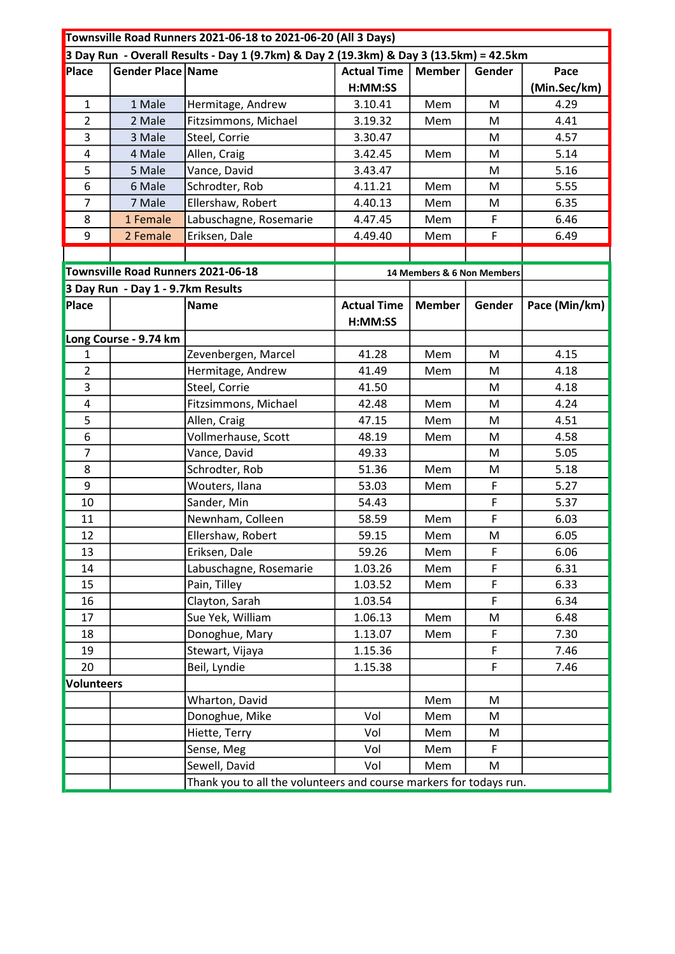| Townsville Road Runners 2021-06-18 to 2021-06-20 (All 3 Days)                          |                                                                    |                        |                            |               |             |               |  |
|----------------------------------------------------------------------------------------|--------------------------------------------------------------------|------------------------|----------------------------|---------------|-------------|---------------|--|
| 3 Day Run - Overall Results - Day 1 (9.7km) & Day 2 (19.3km) & Day 3 (13.5km) = 42.5km |                                                                    |                        |                            |               |             |               |  |
| Place                                                                                  | Gender Place Name                                                  |                        | <b>Actual Time</b>         | <b>Member</b> | Gender      | Pace          |  |
|                                                                                        |                                                                    |                        | H:MM:SS                    |               |             | (Min.Sec/km)  |  |
| 1                                                                                      | 1 Male                                                             | Hermitage, Andrew      | 3.10.41                    | Mem           | M           | 4.29          |  |
| $\overline{2}$                                                                         | 2 Male                                                             | Fitzsimmons, Michael   | 3.19.32                    | Mem           | M           | 4.41          |  |
| 3                                                                                      | 3 Male                                                             | Steel, Corrie          | 3.30.47                    |               | M           | 4.57          |  |
| 4                                                                                      | 4 Male                                                             | Allen, Craig           | 3.42.45                    | Mem           | M           | 5.14          |  |
| 5                                                                                      | 5 Male                                                             | Vance, David           | 3.43.47                    |               | M           | 5.16          |  |
| 6                                                                                      | 6 Male                                                             | Schrodter, Rob         | 4.11.21                    | Mem           | М           | 5.55          |  |
| 7                                                                                      | 7 Male                                                             | Ellershaw, Robert      | 4.40.13                    | Mem           | M           | 6.35          |  |
| 8                                                                                      | 1 Female                                                           | Labuschagne, Rosemarie | 4.47.45                    | Mem           | F           | 6.46          |  |
| 9                                                                                      | 2 Female                                                           | Eriksen, Dale          | 4.49.40                    | Mem           | $\mathsf F$ | 6.49          |  |
|                                                                                        |                                                                    |                        |                            |               |             |               |  |
|                                                                                        | Townsville Road Runners 2021-06-18                                 |                        | 14 Members & 6 Non Members |               |             |               |  |
|                                                                                        | 3 Day Run - Day 1 - 9.7km Results                                  |                        |                            |               |             |               |  |
| Place                                                                                  |                                                                    | <b>Name</b>            | <b>Actual Time</b>         | <b>Member</b> | Gender      | Pace (Min/km) |  |
|                                                                                        |                                                                    |                        | H:MM:SS                    |               |             |               |  |
|                                                                                        | Long Course - 9.74 km                                              |                        |                            |               |             |               |  |
| 1                                                                                      |                                                                    | Zevenbergen, Marcel    | 41.28                      | Mem           | M           | 4.15          |  |
| $\overline{2}$                                                                         |                                                                    | Hermitage, Andrew      | 41.49                      | Mem           | M           | 4.18          |  |
| 3                                                                                      |                                                                    | Steel, Corrie          | 41.50                      |               | M           | 4.18          |  |
| 4                                                                                      |                                                                    | Fitzsimmons, Michael   | 42.48                      | Mem           | M           | 4.24          |  |
| 5                                                                                      |                                                                    | Allen, Craig           | 47.15                      | Mem           | M           | 4.51          |  |
| 6                                                                                      |                                                                    | Vollmerhause, Scott    | 48.19                      | Mem           | M           | 4.58          |  |
| $\overline{7}$                                                                         |                                                                    | Vance, David           | 49.33                      |               | M           | 5.05          |  |
| 8                                                                                      |                                                                    | Schrodter, Rob         | 51.36                      | Mem           | M           | 5.18          |  |
| 9                                                                                      |                                                                    | Wouters, Ilana         | 53.03                      | Mem           | F           | 5.27          |  |
| 10                                                                                     |                                                                    | Sander, Min            | 54.43                      |               | F           | 5.37          |  |
| 11                                                                                     |                                                                    | Newnham, Colleen       | 58.59                      | Mem           | F           | 6.03          |  |
| 12                                                                                     |                                                                    | Ellershaw, Robert      | 59.15                      | Mem           | M           | 6.05          |  |
| 13                                                                                     |                                                                    | Eriksen, Dale          | 59.26                      | Mem           | F           | 6.06          |  |
| 14                                                                                     |                                                                    | Labuschagne, Rosemarie | 1.03.26                    | Mem           | F           | 6.31          |  |
| 15                                                                                     |                                                                    | Pain, Tilley           | 1.03.52                    | Mem           | F           | 6.33          |  |
| 16                                                                                     |                                                                    | Clayton, Sarah         | 1.03.54                    |               | F           | 6.34          |  |
| 17                                                                                     |                                                                    | Sue Yek, William       | 1.06.13                    | Mem           | M           | 6.48          |  |
| 18                                                                                     |                                                                    | Donoghue, Mary         | 1.13.07                    | Mem           | F           | 7.30          |  |
| 19                                                                                     |                                                                    | Stewart, Vijaya        | 1.15.36                    |               | F.          | 7.46          |  |
| 20                                                                                     |                                                                    | Beil, Lyndie           | 1.15.38                    |               | F           | 7.46          |  |
| <b>Volunteers</b>                                                                      |                                                                    |                        |                            |               |             |               |  |
|                                                                                        |                                                                    | Wharton, David         |                            | Mem           | M           |               |  |
|                                                                                        |                                                                    | Donoghue, Mike         | Vol                        | Mem           | M           |               |  |
|                                                                                        |                                                                    | Hiette, Terry          | Vol                        | Mem           | M           |               |  |
|                                                                                        |                                                                    | Sense, Meg             | Vol                        | Mem           | F           |               |  |
|                                                                                        |                                                                    | Sewell, David          | Vol                        | Mem           | M           |               |  |
|                                                                                        | Thank you to all the volunteers and course markers for todays run. |                        |                            |               |             |               |  |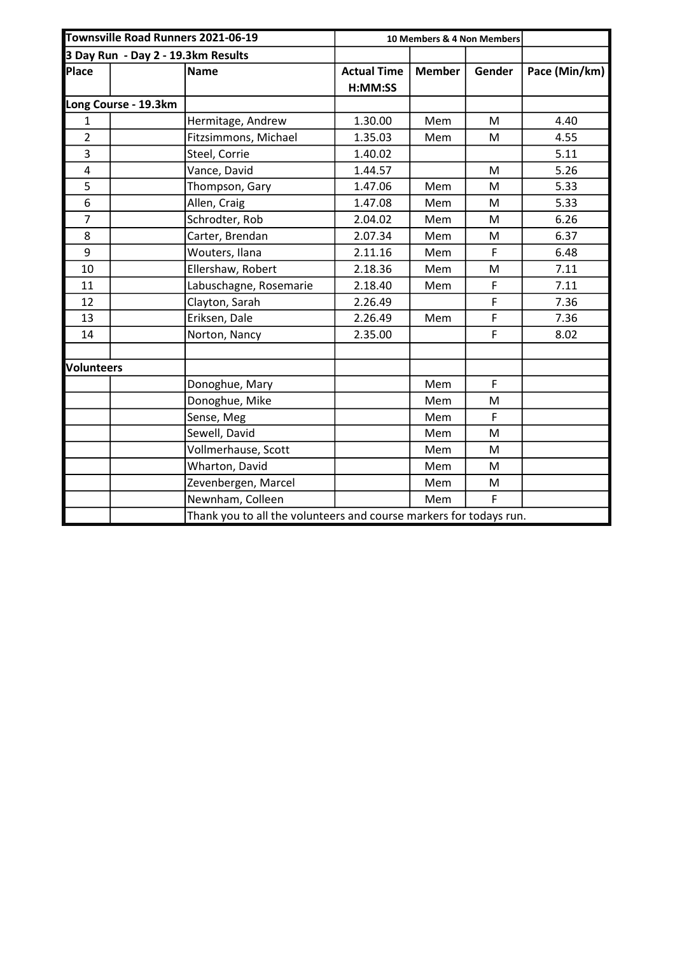| Townsville Road Runners 2021-06-19 |  |                                                                    | 10 Members & 4 Non Members |               |        |               |  |
|------------------------------------|--|--------------------------------------------------------------------|----------------------------|---------------|--------|---------------|--|
| 3 Day Run - Day 2 - 19.3km Results |  |                                                                    |                            |               |        |               |  |
| Place                              |  | <b>Name</b>                                                        | <b>Actual Time</b>         | <b>Member</b> | Gender | Pace (Min/km) |  |
|                                    |  |                                                                    | H:MM:SS                    |               |        |               |  |
| Long Course - 19.3km               |  |                                                                    |                            |               |        |               |  |
| 1                                  |  | Hermitage, Andrew                                                  | 1.30.00                    | Mem           | M      | 4.40          |  |
| $\overline{2}$                     |  | Fitzsimmons, Michael                                               | 1.35.03                    | Mem           | M      | 4.55          |  |
| 3                                  |  | Steel, Corrie                                                      | 1.40.02                    |               |        | 5.11          |  |
| 4                                  |  | Vance, David                                                       | 1.44.57                    |               | M      | 5.26          |  |
| 5                                  |  | Thompson, Gary                                                     | 1.47.06                    | Mem           | M      | 5.33          |  |
| 6                                  |  | Allen, Craig                                                       | 1.47.08                    | Mem           | M      | 5.33          |  |
| $\overline{7}$                     |  | Schrodter, Rob                                                     | 2.04.02                    | Mem           | M      | 6.26          |  |
| 8                                  |  | Carter, Brendan                                                    | 2.07.34                    | Mem           | M      | 6.37          |  |
| 9                                  |  | Wouters, Ilana                                                     | 2.11.16                    | Mem           | F      | 6.48          |  |
| 10                                 |  | Ellershaw, Robert                                                  | 2.18.36                    | Mem           | M      | 7.11          |  |
| 11                                 |  | Labuschagne, Rosemarie                                             | 2.18.40                    | Mem           | F      | 7.11          |  |
| 12                                 |  | Clayton, Sarah                                                     | 2.26.49                    |               | F      | 7.36          |  |
| 13                                 |  | Eriksen, Dale                                                      | 2.26.49                    | Mem           | F      | 7.36          |  |
| 14                                 |  | Norton, Nancy                                                      | 2.35.00                    |               | F      | 8.02          |  |
|                                    |  |                                                                    |                            |               |        |               |  |
| <b>Volunteers</b>                  |  |                                                                    |                            |               |        |               |  |
|                                    |  | Donoghue, Mary                                                     |                            | Mem           | F      |               |  |
|                                    |  | Donoghue, Mike                                                     |                            | Mem           | M      |               |  |
|                                    |  | Sense, Meg                                                         |                            | Mem           | F      |               |  |
|                                    |  | Sewell, David                                                      |                            | Mem           | M      |               |  |
|                                    |  | Vollmerhause, Scott                                                |                            | Mem           | M      |               |  |
|                                    |  | Wharton, David                                                     |                            | Mem           | M      |               |  |
|                                    |  | Zevenbergen, Marcel                                                |                            | Mem           | M      |               |  |
|                                    |  | Newnham, Colleen                                                   |                            | Mem           | F      |               |  |
|                                    |  | Thank you to all the volunteers and course markers for todays run. |                            |               |        |               |  |